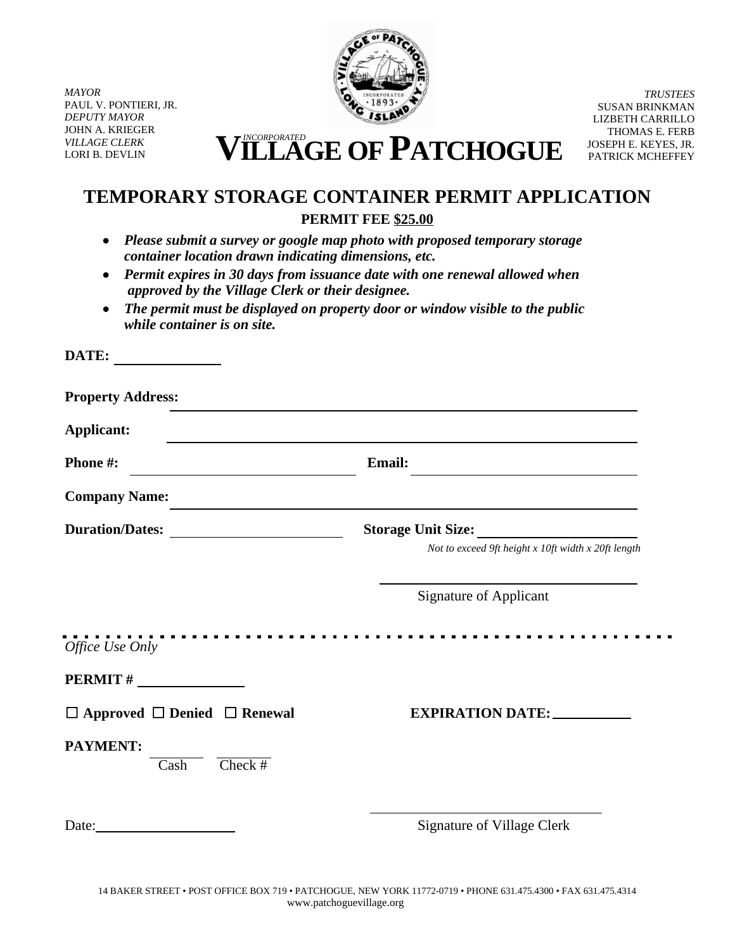*MAYOR* PAUL V. PONTIERI, JR. *DEPUTY MAYOR* JOHN A. KRIEGER *VILLAGE CLERK*



*TRUSTEES* SUSAN BRINKMAN LIZBETH CARRILLO THOMAS E. FERB JOSEPH E. KEYES, JR. PATRICK MCHEFFEY

VILLAGE CLERK **VILLAGE CLERK VILLAGE OF PATCHOGUE** 

# **TEMPORARY STORAGE CONTAINER PERMIT APPLICATION PERMIT FEE \$25.00**

- *Please submit a survey or google map photo with proposed temporary storage container location drawn indicating dimensions, etc.*
- *Permit expires in 30 days from issuance date with one renewal allowed when approved by the Village Clerk or their designee.*
- *The permit must be displayed on property door or window visible to the public while container is on site.*

| DATE:<br><u> 1999 - Johann Stein, fransk politiker</u>   |                                                                           |
|----------------------------------------------------------|---------------------------------------------------------------------------|
| <b>Property Address:</b>                                 |                                                                           |
| <b>Applicant:</b>                                        | <u> 1989 - Johann Stoff, amerikansk politiker (d. 1989)</u>               |
| Phone #:                                                 | Email:                                                                    |
| <b>Company Name:</b>                                     | <u> 1989 - Johann Stoff, amerikansk politiker (d. 1989)</u>               |
| Duration/Dates:                                          | Storage Unit Size:<br>Not to exceed 9ft height x 10ft width x 20ft length |
|                                                          | <b>Signature of Applicant</b>                                             |
| Office Use Only                                          |                                                                           |
| $PERMIT # \_$                                            |                                                                           |
| $\Box$ Approved $\Box$ Denied $\Box$ Renewal             |                                                                           |
| <b>PAYMENT:</b><br>$Check$ #<br>$\overline{\text{Cash}}$ |                                                                           |
|                                                          | <b>Signature of Village Clerk</b>                                         |
|                                                          |                                                                           |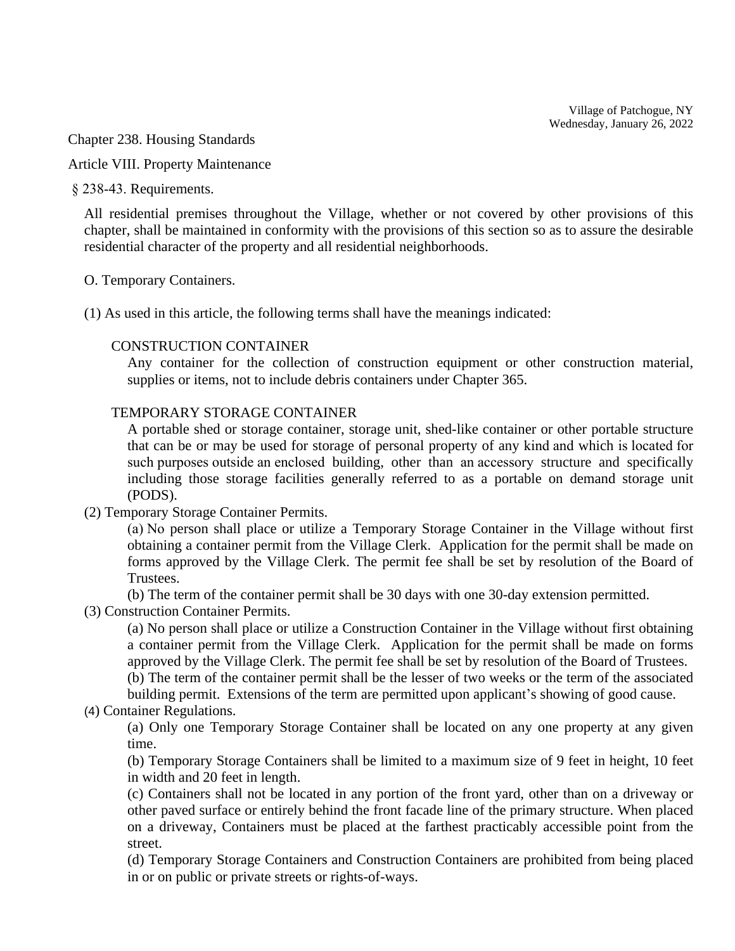Village of Patchogue, NY  $\frac{1}{2}$ av January 26, 2022 Wednesday, January 26, 2022

 $\sigma$ <sub>1</sub>  $\sigma$ <sub>220</sub>  $\sigma$ <sub>1</sub> *VILLAGE Chapter 238. Housing Standards*<br> *Article VIII. Property Maintenance* 

Article VIII. Property Maintenance

§ 238-43. Requirements.

All residential premises throughout the Village, whether or not covered by other provisions of this chapter, shall be maintained in conformity with the provisions of this section so as to assure the desirable residential character of the property and all residential neighborhoods.

#### O. Temporary Containers.

(1) As used in this article, the following terms shall have the meanings indicated:

#### CONSTRUCTION CONTAINER

Any container for the collection of construction equipment or other construction material, supplies or items, not to include debris containers under Chapter 365.

## TEMPORARY STORAGE CONTAINER

A portable shed or storage container, storage unit, shed-like container or other portable structure that can be or may be used for storage of personal property of any kind and which is located for such purposes outside an enclosed building, other than an accessory structure and specifically including those storage facilities generally referred to as a portable on demand storage unit (PODS).

(2) Temporary Storage Container Permits.

(a) No person shall place or utilize a Temporary Storage Container in the Village without first obtaining a container permit from the Village Clerk. Application for the permit shall be made on forms approved by the Village Clerk. The permit fee shall be set by resolution of the Board of Trustees.

(b) The term of the container permit shall be 30 days with one 30-day extension permitted.

(3) Construction Container Permits.

(a) No person shall place or utilize a Construction Container in the Village without first obtaining a container permit from the Village Clerk. Application for the permit shall be made on forms approved by the Village Clerk. The permit fee shall be set by resolution of the Board of Trustees.

(b) The term of the container permit shall be the lesser of two weeks or the term of the associated building permit. Extensions of the term are permitted upon applicant's showing of good cause.

### (4) Container Regulations.

(a) Only one Temporary Storage Container shall be located on any one property at any given time.

(b) Temporary Storage Containers shall be limited to a maximum size of 9 feet in height, 10 feet in width and 20 feet in length.

(c) Containers shall not be located in any portion of the front yard, other than on a driveway or other paved surface or entirely behind the front facade line of the primary structure. When placed on a driveway, Containers must be placed at the farthest practicably accessible point from the street.

(d) Temporary Storage Containers and Construction Containers are prohibited from being placed in or on public or private streets or rights-of-ways.